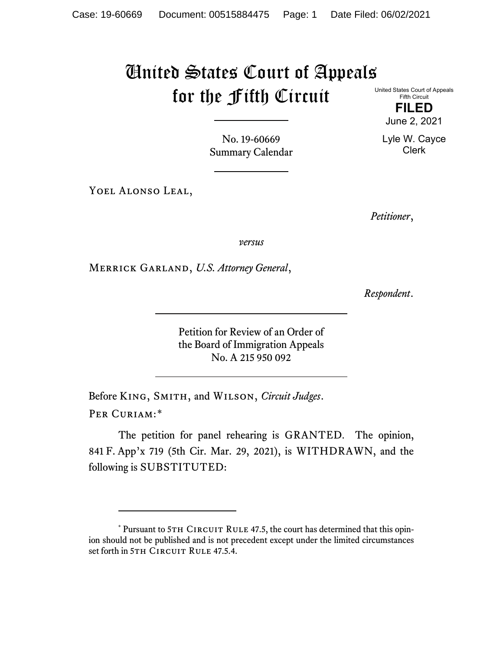## United States Court of Appeals for the Fifth Circuit

United States Court of Appeals Fifth Circuit

> **FILED** June 2, 2021

Lyle W. Cayce Clerk

No. 19-60669 Summary Calendar

YOEL ALONSO LEAL,

*Petitioner*,

*versus*

Merrick Garland, *U.S. Attorney General*,

*Respondent*.

Petition for Review of an Order of the Board of Immigration Appeals No. A 215 950 092

Before King, Smith, and Wilson, *Circuit Judges*. Per Curiam:[\\*](#page-0-0)

The petition for panel rehearing is GRANTED. The opinion, 841 F. App'x 719 (5th Cir. Mar. 29, 2021), is WITHDRAWN, and the following is SUBSTITUTED:

<span id="page-0-0"></span><sup>\*</sup> Pursuant to 5TH CIRCUIT RULE 47.5, the court has determined that this opinion should not be published and is not precedent except under the limited circumstances set forth in 5TH CIRCUIT RULE 47.5.4.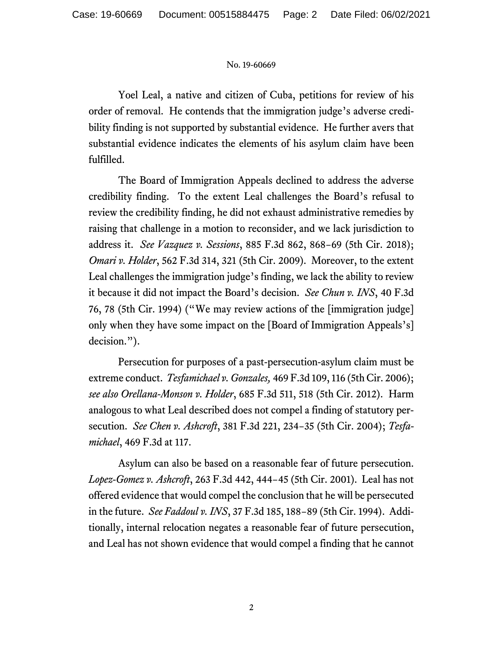## No. 19-60669

Yoel Leal, a native and citizen of Cuba, petitions for review of his order of removal. He contends that the immigration judge's adverse credibility finding is not supported by substantial evidence. He further avers that substantial evidence indicates the elements of his asylum claim have been fulfilled.

The Board of Immigration Appeals declined to address the adverse credibility finding. To the extent Leal challenges the Board's refusal to review the credibility finding, he did not exhaust administrative remedies by raising that challenge in a motion to reconsider, and we lack jurisdiction to address it. *See Vazquez v. Sessions*, 885 F.3d 862, 868−69 (5th Cir. 2018); *Omari v. Holder*, 562 F.3d 314, 321 (5th Cir. 2009). Moreover, to the extent Leal challenges the immigration judge's finding, we lack the ability to review it because it did not impact the Board's decision. *See Chun v. INS*, 40 F.3d 76, 78 (5th Cir. 1994) ("We may review actions of the [immigration judge] only when they have some impact on the [Board of Immigration Appeals's] decision.").

Persecution for purposes of a past-persecution-asylum claim must be extreme conduct. *Tesfamichael v. Gonzales,* 469 F.3d 109, 116 (5th Cir. 2006); *see also Orellana-Monson v. Holder*, 685 F.3d 511, 518 (5th Cir. 2012). Harm analogous to what Leal described does not compel a finding of statutory persecution. *See Chen v. Ashcroft*, 381 F.3d 221, 234−35 (5th Cir. 2004); *Tesfamichael*, 469 F.3d at 117.

Asylum can also be based on a reasonable fear of future persecution. *Lopez-Gomez v. Ashcroft*, 263 F.3d 442, 444−45 (5th Cir. 2001). Leal has not offered evidence that would compel the conclusion that he will be persecuted in the future. *See Faddoul v. INS*, 37 F.3d 185, 188−89 (5th Cir. 1994). Additionally, internal relocation negates a reasonable fear of future persecution, and Leal has not shown evidence that would compel a finding that he cannot